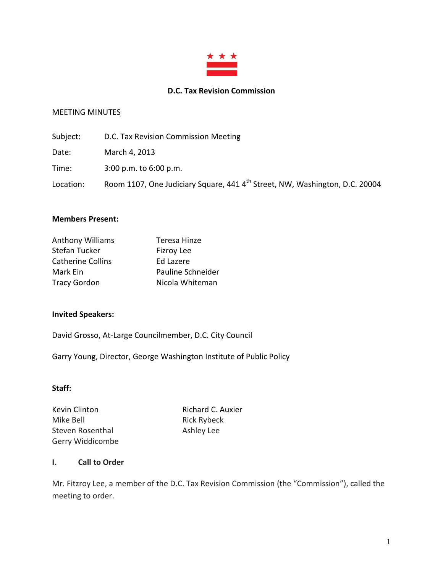

#### **D.C. Tax Revision Commission**

# MEETING MINUTES

| Subject:  | D.C. Tax Revision Commission Meeting                                                    |
|-----------|-----------------------------------------------------------------------------------------|
| Date:     | March 4, 2013                                                                           |
| Time:     | $3:00$ p.m. to $6:00$ p.m.                                                              |
| Location: | Room 1107, One Judiciary Square, 441 4 <sup>th</sup> Street, NW, Washington, D.C. 20004 |

#### **Members Present:**

| <b>Anthony Williams</b>  | Teresa Hinze      |
|--------------------------|-------------------|
| <b>Stefan Tucker</b>     | <b>Fizroy Lee</b> |
| <b>Catherine Collins</b> | <b>Ed Lazere</b>  |
| Mark Ein                 | Pauline Schneider |
| <b>Tracy Gordon</b>      | Nicola Whiteman   |

#### **Invited Speakers:**

David Grosso, At-Large Councilmember, D.C. City Council

Garry Young, Director, George Washington Institute of Public Policy

#### **Staff:**

Mike Bell **Rick Rybeck** Steven Rosenthal Ashley Lee Gerry Widdicombe

Kevin Clinton **Richard C. Auxier** 

#### **I. Call to Order**

Mr. Fitzroy Lee, a member of the D.C. Tax Revision Commission (the "Commission"), called the meeting to order.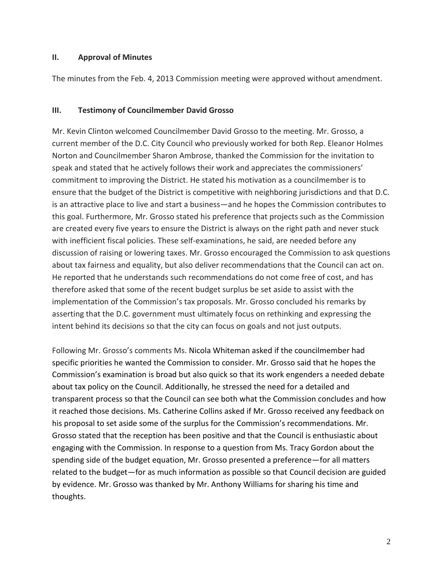## **II. Approval of Minutes**

The minutes from the Feb. 4, 2013 Commission meeting were approved without amendment.

#### **III. Testimony of Councilmember David Grosso**

Mr. Kevin Clinton welcomed Councilmember David Grosso to the meeting. Mr. Grosso, a current member of the D.C. City Council who previously worked for both Rep. Eleanor Holmes Norton and Councilmember Sharon Ambrose, thanked the Commission for the invitation to speak and stated that he actively follows their work and appreciates the commissioners' commitment to improving the District. He stated his motivation as a councilmember is to ensure that the budget of the District is competitive with neighboring jurisdictions and that D.C. is an attractive place to live and start a business—and he hopes the Commission contributes to this goal. Furthermore, Mr. Grosso stated his preference that projects such as the Commission are created every five years to ensure the District is always on the right path and never stuck with inefficient fiscal policies. These self-examinations, he said, are needed before any discussion of raising or lowering taxes. Mr. Grosso encouraged the Commission to ask questions about tax fairness and equality, but also deliver recommendations that the Council can act on. He reported that he understands such recommendations do not come free of cost, and has therefore asked that some of the recent budget surplus be set aside to assist with the implementation of the Commission's tax proposals. Mr. Grosso concluded his remarks by asserting that the D.C. government must ultimately focus on rethinking and expressing the intent behind its decisions so that the city can focus on goals and not just outputs.

Following Mr. Grosso's comments Ms. Nicola Whiteman asked if the councilmember had specific priorities he wanted the Commission to consider. Mr. Grosso said that he hopes the Commission's examination is broad but also quick so that its work engenders a needed debate about tax policy on the Council. Additionally, he stressed the need for a detailed and transparent process so that the Council can see both what the Commission concludes and how it reached those decisions. Ms. Catherine Collins asked if Mr. Grosso received any feedback on his proposal to set aside some of the surplus for the Commission's recommendations. Mr. Grosso stated that the reception has been positive and that the Council is enthusiastic about engaging with the Commission. In response to a question from Ms. Tracy Gordon about the spending side of the budget equation, Mr. Grosso presented a preference—for all matters related to the budget—for as much information as possible so that Council decision are guided by evidence. Mr. Grosso was thanked by Mr. Anthony Williams for sharing his time and thoughts.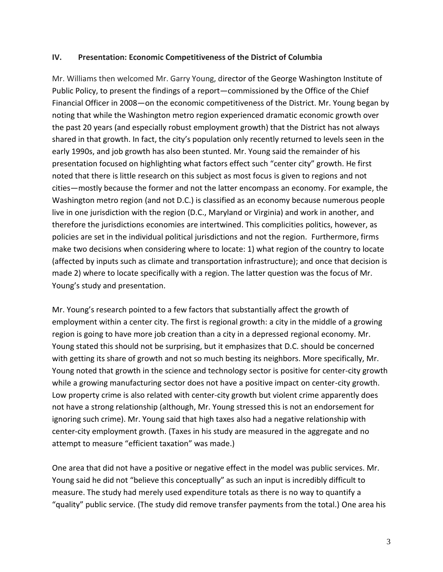## **IV. Presentation: Economic Competitiveness of the District of Columbia**

Mr. Williams then welcomed Mr. Garry Young, director of the George Washington Institute of Public Policy, to present the findings of a report—commissioned by the Office of the Chief Financial Officer in 2008—on the economic competitiveness of the District. Mr. Young began by noting that while the Washington metro region experienced dramatic economic growth over the past 20 years (and especially robust employment growth) that the District has not always shared in that growth. In fact, the city's population only recently returned to levels seen in the early 1990s, and job growth has also been stunted. Mr. Young said the remainder of his presentation focused on highlighting what factors effect such "center city" growth. He first noted that there is little research on this subject as most focus is given to regions and not cities—mostly because the former and not the latter encompass an economy. For example, the Washington metro region (and not D.C.) is classified as an economy because numerous people live in one jurisdiction with the region (D.C., Maryland or Virginia) and work in another, and therefore the jurisdictions economies are intertwined. This complicities politics, however, as policies are set in the individual political jurisdictions and not the region. Furthermore, firms make two decisions when considering where to locate: 1) what region of the country to locate (affected by inputs such as climate and transportation infrastructure); and once that decision is made 2) where to locate specifically with a region. The latter question was the focus of Mr. Young's study and presentation.

Mr. Young's research pointed to a few factors that substantially affect the growth of employment within a center city. The first is regional growth: a city in the middle of a growing region is going to have more job creation than a city in a depressed regional economy. Mr. Young stated this should not be surprising, but it emphasizes that D.C. should be concerned with getting its share of growth and not so much besting its neighbors. More specifically, Mr. Young noted that growth in the science and technology sector is positive for center-city growth while a growing manufacturing sector does not have a positive impact on center-city growth. Low property crime is also related with center-city growth but violent crime apparently does not have a strong relationship (although, Mr. Young stressed this is not an endorsement for ignoring such crime). Mr. Young said that high taxes also had a negative relationship with center-city employment growth. (Taxes in his study are measured in the aggregate and no attempt to measure "efficient taxation" was made.)

One area that did not have a positive or negative effect in the model was public services. Mr. Young said he did not "believe this conceptually" as such an input is incredibly difficult to measure. The study had merely used expenditure totals as there is no way to quantify a "quality" public service. (The study did remove transfer payments from the total.) One area his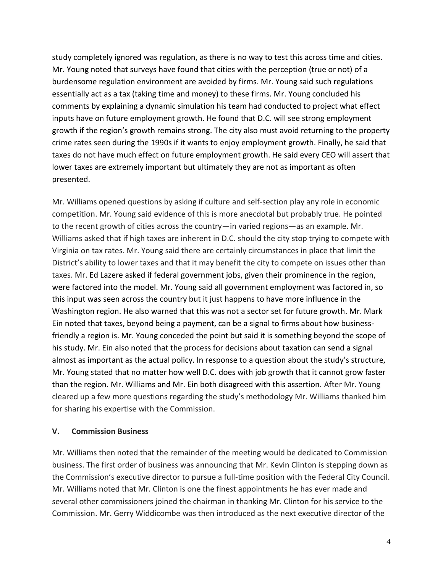study completely ignored was regulation, as there is no way to test this across time and cities. Mr. Young noted that surveys have found that cities with the perception (true or not) of a burdensome regulation environment are avoided by firms. Mr. Young said such regulations essentially act as a tax (taking time and money) to these firms. Mr. Young concluded his comments by explaining a dynamic simulation his team had conducted to project what effect inputs have on future employment growth. He found that D.C. will see strong employment growth if the region's growth remains strong. The city also must avoid returning to the property crime rates seen during the 1990s if it wants to enjoy employment growth. Finally, he said that taxes do not have much effect on future employment growth. He said every CEO will assert that lower taxes are extremely important but ultimately they are not as important as often presented.

Mr. Williams opened questions by asking if culture and self-section play any role in economic competition. Mr. Young said evidence of this is more anecdotal but probably true. He pointed to the recent growth of cities across the country—in varied regions—as an example. Mr. Williams asked that if high taxes are inherent in D.C. should the city stop trying to compete with Virginia on tax rates. Mr. Young said there are certainly circumstances in place that limit the District's ability to lower taxes and that it may benefit the city to compete on issues other than taxes. Mr. Ed Lazere asked if federal government jobs, given their prominence in the region, were factored into the model. Mr. Young said all government employment was factored in, so this input was seen across the country but it just happens to have more influence in the Washington region. He also warned that this was not a sector set for future growth. Mr. Mark Ein noted that taxes, beyond being a payment, can be a signal to firms about how businessfriendly a region is. Mr. Young conceded the point but said it is something beyond the scope of his study. Mr. Ein also noted that the process for decisions about taxation can send a signal almost as important as the actual policy. In response to a question about the study's structure, Mr. Young stated that no matter how well D.C. does with job growth that it cannot grow faster than the region. Mr. Williams and Mr. Ein both disagreed with this assertion. After Mr. Young cleared up a few more questions regarding the study's methodology Mr. Williams thanked him for sharing his expertise with the Commission.

# **V. Commission Business**

Mr. Williams then noted that the remainder of the meeting would be dedicated to Commission business. The first order of business was announcing that Mr. Kevin Clinton is stepping down as the Commission's executive director to pursue a full-time position with the Federal City Council. Mr. Williams noted that Mr. Clinton is one the finest appointments he has ever made and several other commissioners joined the chairman in thanking Mr. Clinton for his service to the Commission. Mr. Gerry Widdicombe was then introduced as the next executive director of the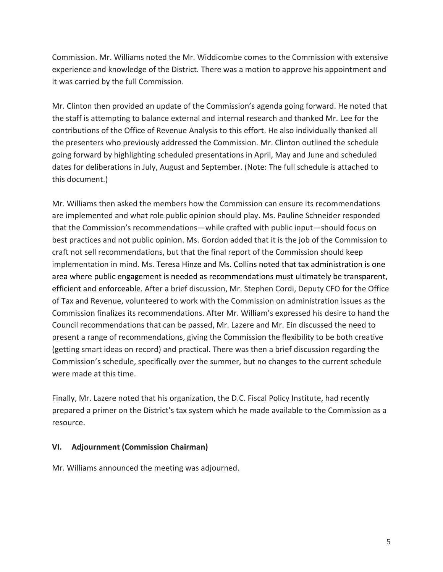Commission. Mr. Williams noted the Mr. Widdicombe comes to the Commission with extensive experience and knowledge of the District. There was a motion to approve his appointment and it was carried by the full Commission.

Mr. Clinton then provided an update of the Commission's agenda going forward. He noted that the staff is attempting to balance external and internal research and thanked Mr. Lee for the contributions of the Office of Revenue Analysis to this effort. He also individually thanked all the presenters who previously addressed the Commission. Mr. Clinton outlined the schedule going forward by highlighting scheduled presentations in April, May and June and scheduled dates for deliberations in July, August and September. (Note: The full schedule is attached to this document.)

Mr. Williams then asked the members how the Commission can ensure its recommendations are implemented and what role public opinion should play. Ms. Pauline Schneider responded that the Commission's recommendations—while crafted with public input—should focus on best practices and not public opinion. Ms. Gordon added that it is the job of the Commission to craft not sell recommendations, but that the final report of the Commission should keep implementation in mind. Ms. Teresa Hinze and Ms. Collins noted that tax administration is one area where public engagement is needed as recommendations must ultimately be transparent, efficient and enforceable. After a brief discussion, Mr. Stephen Cordi, Deputy CFO for the Office of Tax and Revenue, volunteered to work with the Commission on administration issues as the Commission finalizes its recommendations. After Mr. William's expressed his desire to hand the Council recommendations that can be passed, Mr. Lazere and Mr. Ein discussed the need to present a range of recommendations, giving the Commission the flexibility to be both creative (getting smart ideas on record) and practical. There was then a brief discussion regarding the Commission's schedule, specifically over the summer, but no changes to the current schedule were made at this time.

Finally, Mr. Lazere noted that his organization, the D.C. Fiscal Policy Institute, had recently prepared a primer on the District's tax system which he made available to the Commission as a resource.

# **VI. Adjournment (Commission Chairman)**

Mr. Williams announced the meeting was adjourned.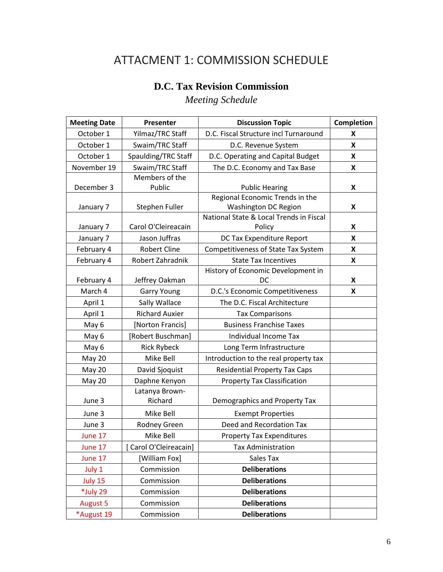# ATTACMENT 1: COMMISSION SCHEDULE

# **D.C. Tax Revision Commission**

*Meeting Schedule* 

| <b>Meeting Date</b> | Presenter                       | <b>Discussion Topic</b>                                           | <b>Completion</b> |
|---------------------|---------------------------------|-------------------------------------------------------------------|-------------------|
| October 1           | Yilmaz/TRC Staff                | D.C. Fiscal Structure incl Turnaround                             | X                 |
| October 1           | Swaim/TRC Staff                 | D.C. Revenue System                                               | X                 |
| October 1           | Spaulding/TRC Staff             | D.C. Operating and Capital Budget                                 | X                 |
| November 19         | Swaim/TRC Staff                 | The D.C. Economy and Tax Base                                     | X                 |
|                     | Members of the                  |                                                                   |                   |
| December 3          | Public                          | <b>Public Hearing</b>                                             | X                 |
|                     |                                 | Regional Economic Trends in the                                   |                   |
| January 7           | Stephen Fuller                  | <b>Washington DC Region</b>                                       | X                 |
| January 7           | Carol O'Cleireacain             | National State & Local Trends in Fiscal<br>Policy                 | X                 |
| January 7           | Jason Juffras                   | DC Tax Expenditure Report                                         | X                 |
|                     | <b>Robert Cline</b>             |                                                                   |                   |
| February 4          |                                 | Competitiveness of State Tax System                               | X                 |
| February 4          | Robert Zahradnik                | <b>State Tax Incentives</b><br>History of Economic Development in | X                 |
| February 4          | Jeffrey Oakman                  | DC                                                                | X                 |
| March 4             | <b>Garry Young</b>              | D.C.'s Economic Competitiveness                                   | X                 |
| April 1             | Sally Wallace                   | The D.C. Fiscal Architecture                                      |                   |
| April 1             | <b>Richard Auxier</b>           | <b>Tax Comparisons</b>                                            |                   |
| May 6               | [Norton Francis]                | <b>Business Franchise Taxes</b>                                   |                   |
| May 6               | [Robert Buschman]               | Individual Income Tax                                             |                   |
| May 6               |                                 |                                                                   |                   |
|                     | <b>Rick Rybeck</b><br>Mike Bell | Long Term Infrastructure<br>Introduction to the real property tax |                   |
| May 20              |                                 |                                                                   |                   |
| May 20              | David Sjoquist                  | <b>Residential Property Tax Caps</b>                              |                   |
| May 20              | Daphne Kenyon                   | <b>Property Tax Classification</b>                                |                   |
| June 3              | Latanya Brown-<br>Richard       | Demographics and Property Tax                                     |                   |
| June 3              | Mike Bell                       | <b>Exempt Properties</b>                                          |                   |
| June 3              | Rodney Green                    | Deed and Recordation Tax                                          |                   |
| June 17             | Mike Bell                       | <b>Property Tax Expenditures</b>                                  |                   |
| June 17             | Carol O'Cleireacain]            | <b>Tax Administration</b>                                         |                   |
| June 17             | [William Fox]                   | Sales Tax                                                         |                   |
| July 1              | Commission                      | <b>Deliberations</b>                                              |                   |
| July 15             | Commission                      | <b>Deliberations</b>                                              |                   |
| *July 29            | Commission                      | <b>Deliberations</b>                                              |                   |
| <b>August 5</b>     | Commission                      | <b>Deliberations</b>                                              |                   |
| *August 19          | Commission                      | <b>Deliberations</b>                                              |                   |